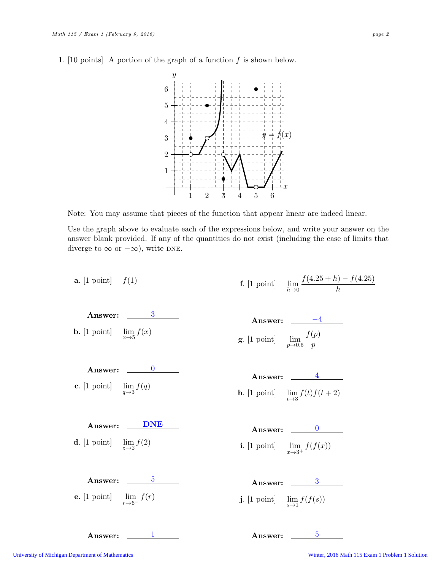1. [10 points] A portion of the graph of a function  $f$  is shown below.



Note: You may assume that pieces of the function that appear linear are indeed linear.

Use the graph above to evaluate each of the expressions below, and write your answer on the answer blank provided. If any of the quantities do not exist (including the case of limits that diverge to  $\infty$  or  $-\infty$ ), write DNE.

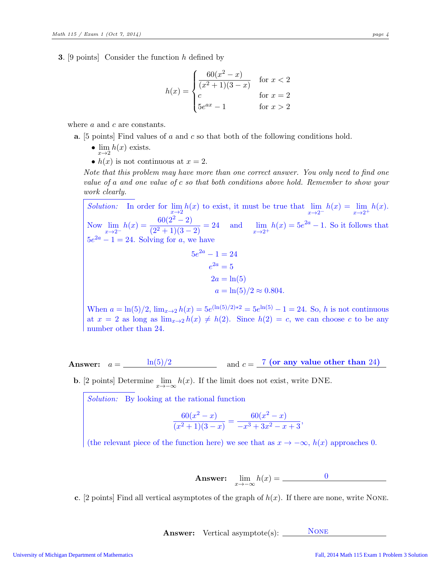**3.** [9 points] Consider the function  $h$  defined by

$$
h(x) = \begin{cases} \frac{60(x^2 - x)}{(x^2 + 1)(3 - x)} & \text{for } x < 2\\ c & \text{for } x = 2\\ 5e^{ax} - 1 & \text{for } x > 2 \end{cases}
$$

where a and c are constants.

- **a.** [5 points] Find values of a and c so that both of the following conditions hold.
	- $\lim_{x\to 2} h(x)$  exists.
	- $h(x)$  is not continuous at  $x = 2$ .

Note that this problem may have more than one correct answer. You only need to find one value of a and one value of c so that both conditions above hold. Remember to show your work clearly.

Solution: In order for  $\lim_{x\to 2} h(x)$  to exist, it must be true that  $\lim_{x\to 2^-} h(x) = \lim_{x\to 2^+} h(x)$ . Now  $\lim_{x \to 2^{-}} h(x) = \frac{60(2^{2} - 2)}{(2^{2} + 1)(3 - 2)} = 24$  and  $\lim_{x \to 2^{+}} h(x) = 5e^{2a} - 1$ . So it follows that  $5e^{2a} - 1 = 24$ . Solving for a, we have  $5e^{2a} - 1 = 24$  $e^{2a}=5$  $2a = \ln(5)$  $a = \ln(5)/2 \approx 0.804$ . When  $a = \ln(5)/2$ ,  $\lim_{x\to 2} h(x) = 5e^{(\ln(5)/2)*2} = 5e^{\ln(5)} - 1 = 24$ . So, h is not continuous

at  $x = 2$  as long as  $\lim_{x\to 2} h(x) \neq h(2)$ . Since  $h(2) = c$ , we can choose c to be any number other than 24.

Answer:  $a = \frac{\ln(5)/2}{\ln(5)}$  and  $c = \frac{7 \text{ (or any value other than 24)}}{2}$ 

**b.** [2 points] Determine  $\lim_{x \to -\infty} h(x)$ . If the limit does not exist, write DNE.

Solution: By looking at the rational function

$$
\frac{60(x^2-x)}{(x^2+1)(3-x)} = \frac{60(x^2-x)}{-x^3+3x^2-x+3},
$$

(the relevant piece of the function here) we see that as  $x \to -\infty$ ,  $h(x)$  approaches 0.

Answer:  $\lim_{x \to -\infty} h(x) =$  <u>0</u>

c. [2 points] Find all vertical asymptotes of the graph of  $h(x)$ . If there are none, write NONE.

**Answer:** Vertical asymptote(s):  $\qquad \qquad \text{NONE}$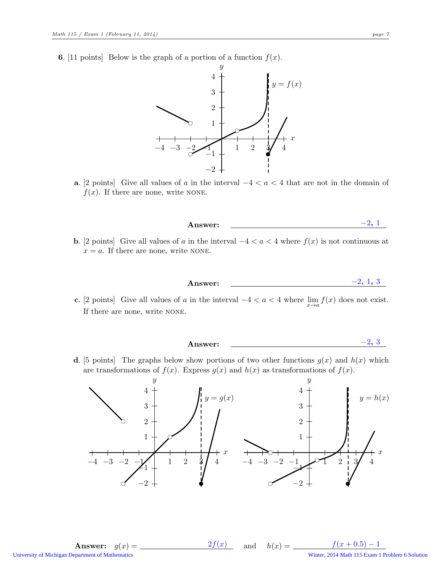**6.** [11 points] Below is the graph of a portion of a function  $f(x)$ .



a. [2 points] Give all values of a in the interval  $-4 < a < 4$  that are not in the domain of  $f(x)$ . If there are none, write NONE.

Answer: 
$$
-2, 1
$$

**b.** [2 points] Give all values of a in the interval  $-4 < a < 4$  where  $f(x)$  is not continuous at  $x = a$ . If there are none, write NONE.

Answer: 
$$
-2, 1, 3
$$

c. [2 points] Give all values of a in the interval  $-4 < a < 4$  where  $\lim_{x\to a} f(x)$  does not exist. If there are none, write none.

Answer: 
$$
-2, 3
$$

d. [5 points] The graphs below show portions of two other functions  $g(x)$  and  $h(x)$  which are transformations of  $f(x)$ . Express  $g(x)$  and  $h(x)$  as transformations of  $f(x)$ .

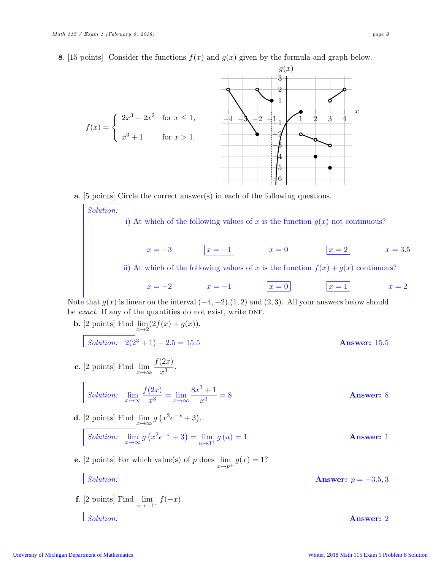8. [15 points] Consider the functions  $f(x)$  and  $g(x)$  given by the formula and graph below.



## a. [5 points] Circle the correct answer(s) in each of the following questions.

Solution: i) At which of the following values of x is the function  $g(x)$  not continuous?  $x = -3$   $x = -1$   $x = 0$   $x = 2$   $x = 3.5$ ii) At which of the following values of x is the function  $f(x) + g(x)$  continuous?  $x = -2$   $x = -1$   $x = 0$   $x = 1$   $x = 2$ 

Note that  $g(x)$  is linear on the interval  $(-4, -2)$ , $(1, 2)$  and  $(2, 3)$ . All your answers below should be exact. If any of the quantities do not exist, write DNE.

**b.** [2 points] Find 
$$
\lim_{x\to 2} (2f(x) + g(x))
$$
.  
\nSolution:  $2(2^3 + 1) - 2.5 = 15.5$   
\n**c.** [2 points] Find  $\lim_{x\to\infty} \frac{f(2x)}{x^3}$ .  
\nSolution:  $\lim_{x\to\infty} \frac{f(2x)}{x^3} = \lim_{x\to\infty} \frac{8x^3 + 1}{x^3} = 8$   
\n**d.** [2 points] Find  $\lim_{x\to\infty} g(x^2e^{-x} + 3)$ .  
\nSolution:  $\lim_{x\to\infty} g(x^2e^{-x} + 3) = \lim_{u\to 3^+} g(u) = 1$   
\n**e.** [2 points] For which value(s) of *p* does  $\lim_{x\to p^+} g(x) = 1$ ?

f. [2 points] Find  $\lim_{x \to -1^{-}} f(-x)$ . Solution: Answer: 2

Solution:  $\Delta$ nswer:  $p = -3.5, 3$